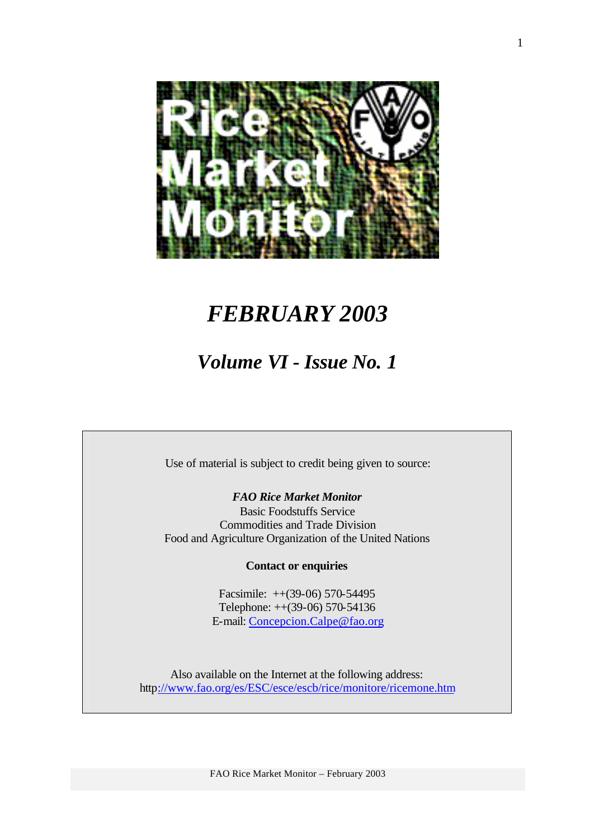

# *FEBRUARY 2003*

# *Volume VI - Issue No. 1*

Use of material is subject to credit being given to source:

*FAO Rice Market Monitor*

Basic Foodstuffs Service Commodities and Trade Division Food and Agriculture Organization of the United Nations

**Contact or enquiries**

Facsimile: ++(39-06) 570-54495 Telephone: ++(39-06) 570-54136 E-mail: Concepcion.Calpe@fao.org

Also available on the Internet at the following address: http://www.fao.org/es/ESC/esce/escb/rice/monitore/ricemone.htm

FAO Rice Market Monitor – February 2003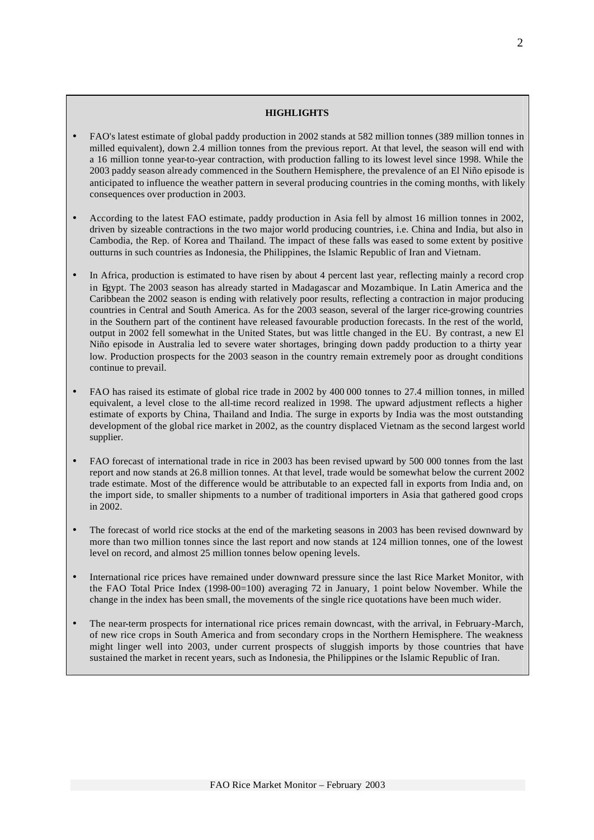#### **HIGHLIGHTS**

- FAO's latest estimate of global paddy production in 2002 stands at 582 million tonnes (389 million tonnes in milled equivalent), down 2.4 million tonnes from the previous report. At that level, the season will end with a 16 million tonne year-to-year contraction, with production falling to its lowest level since 1998. While the 2003 paddy season already commenced in the Southern Hemisphere, the prevalence of an El Niño episode is anticipated to influence the weather pattern in several producing countries in the coming months, with likely consequences over production in 2003.
- According to the latest FAO estimate, paddy production in Asia fell by almost 16 million tonnes in 2002, driven by sizeable contractions in the two major world producing countries, i.e. China and India, but also in Cambodia, the Rep. of Korea and Thailand. The impact of these falls was eased to some extent by positive outturns in such countries as Indonesia, the Philippines, the Islamic Republic of Iran and Vietnam.
- In Africa, production is estimated to have risen by about 4 percent last year, reflecting mainly a record crop in Egypt. The 2003 season has already started in Madagascar and Mozambique. In Latin America and the Caribbean the 2002 season is ending with relatively poor results, reflecting a contraction in major producing countries in Central and South America. As for the 2003 season, several of the larger rice-growing countries in the Southern part of the continent have released favourable production forecasts. In the rest of the world, output in 2002 fell somewhat in the United States, but was little changed in the EU. By contrast, a new El Niño episode in Australia led to severe water shortages, bringing down paddy production to a thirty year low. Production prospects for the 2003 season in the country remain extremely poor as drought conditions continue to prevail.
- FAO has raised its estimate of global rice trade in 2002 by 400 000 tonnes to 27.4 million tonnes, in milled equivalent, a level close to the all-time record realized in 1998. The upward adjustment reflects a higher estimate of exports by China, Thailand and India. The surge in exports by India was the most outstanding development of the global rice market in 2002, as the country displaced Vietnam as the second largest world supplier.
- FAO forecast of international trade in rice in 2003 has been revised upward by 500 000 tonnes from the last report and now stands at 26.8 million tonnes. At that level, trade would be somewhat below the current 2002 trade estimate. Most of the difference would be attributable to an expected fall in exports from India and, on the import side, to smaller shipments to a number of traditional importers in Asia that gathered good crops in 2002.
- The forecast of world rice stocks at the end of the marketing seasons in 2003 has been revised downward by more than two million tonnes since the last report and now stands at 124 million tonnes, one of the lowest level on record, and almost 25 million tonnes below opening levels.
- International rice prices have remained under downward pressure since the last Rice Market Monitor, with the FAO Total Price Index (1998-00=100) averaging 72 in January, 1 point below November. While the change in the index has been small, the movements of the single rice quotations have been much wider.
- The near-term prospects for international rice prices remain downcast, with the arrival, in February-March, of new rice crops in South America and from secondary crops in the Northern Hemisphere. The weakness might linger well into 2003, under current prospects of sluggish imports by those countries that have sustained the market in recent years, such as Indonesia, the Philippines or the Islamic Republic of Iran.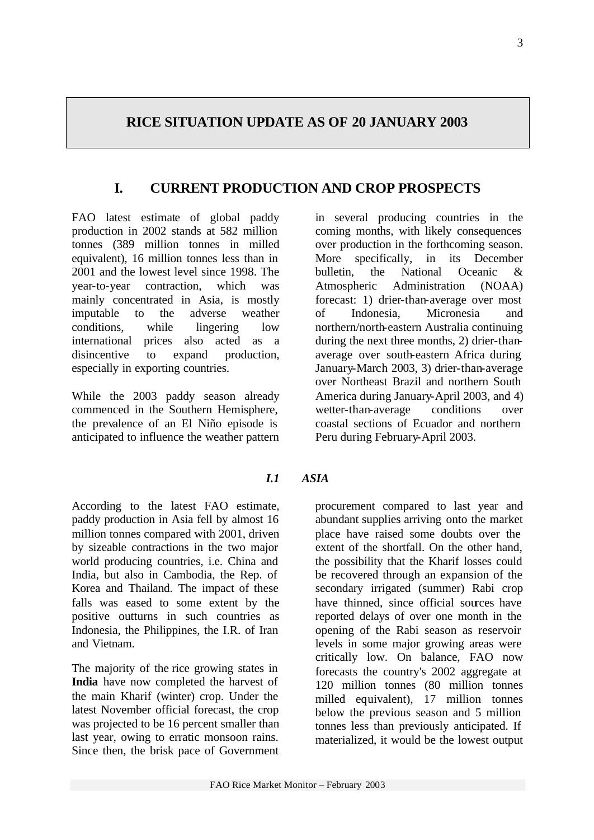# **RICE SITUATION UPDATE AS OF 20 JANUARY 2003**

# **I. CURRENT PRODUCTION AND CROP PROSPECTS**

FAO latest estimate of global paddy production in 2002 stands at 582 million tonnes (389 million tonnes in milled equivalent), 16 million tonnes less than in 2001 and the lowest level since 1998. The year-to-year contraction, which was mainly concentrated in Asia, is mostly imputable to the adverse weather conditions, while lingering low international prices also acted as a disincentive to expand production, especially in exporting countries.

While the 2003 paddy season already commenced in the Southern Hemisphere, the prevalence of an El Niño episode is anticipated to influence the weather pattern

## *I.1 ASIA*

According to the latest FAO estimate, paddy production in Asia fell by almost 16 million tonnes compared with 2001, driven by sizeable contractions in the two major world producing countries, i.e. China and India, but also in Cambodia, the Rep. of Korea and Thailand. The impact of these falls was eased to some extent by the positive outturns in such countries as Indonesia, the Philippines, the I.R. of Iran and Vietnam.

The majority of the rice growing states in **India** have now completed the harvest of the main Kharif (winter) crop. Under the latest November official forecast, the crop was projected to be 16 percent smaller than last year, owing to erratic monsoon rains. Since then, the brisk pace of Government

in several producing countries in the coming months, with likely consequences over production in the forthcoming season. More specifically, in its December bulletin, the National Oceanic & Atmospheric Administration (NOAA) forecast: 1) drier-than-average over most of Indonesia, Micronesia and northern/north-eastern Australia continuing during the next three months, 2) drier-thanaverage over south-eastern Africa during January-March 2003, 3) drier-than-average over Northeast Brazil and northern South America during January-April 2003, and 4) wetter-than-average conditions over coastal sections of Ecuador and northern Peru during February-April 2003.

procurement compared to last year and abundant supplies arriving onto the market place have raised some doubts over the extent of the shortfall. On the other hand, the possibility that the Kharif losses could be recovered through an expansion of the secondary irrigated (summer) Rabi crop have thinned, since official sources have reported delays of over one month in the opening of the Rabi season as reservoir levels in some major growing areas were critically low. On balance, FAO now forecasts the country's 2002 aggregate at 120 million tonnes (80 million tonnes milled equivalent), 17 million tonnes below the previous season and 5 million tonnes less than previously anticipated. If materialized, it would be the lowest output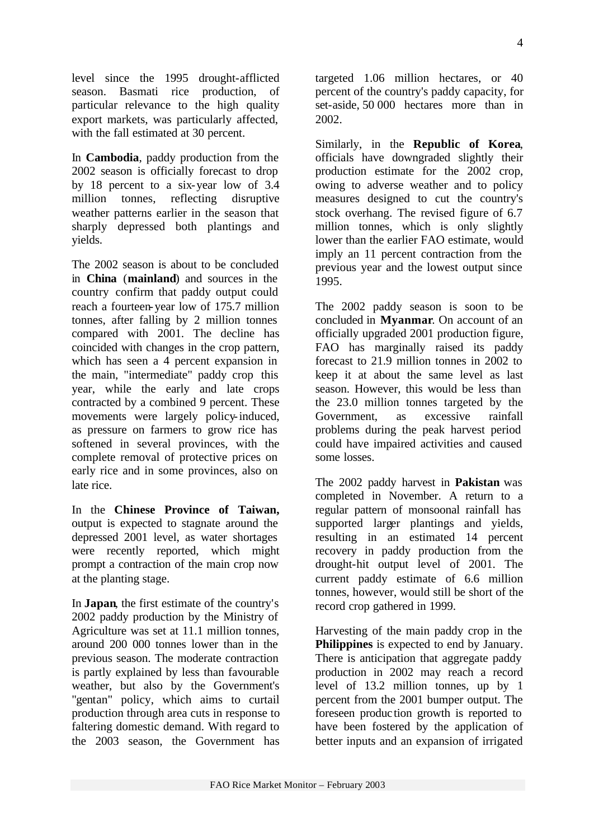level since the 1995 drought-afflicted season. Basmati rice production, of particular relevance to the high quality export markets, was particularly affected, with the fall estimated at 30 percent.

In **Cambodia**, paddy production from the 2002 season is officially forecast to drop by 18 percent to a six-year low of 3.4 million tonnes, reflecting disruptive weather patterns earlier in the season that sharply depressed both plantings and yields.

The 2002 season is about to be concluded in **China** (**mainland**) and sources in the country confirm that paddy output could reach a fourteen-year low of 175.7 million tonnes, after falling by 2 million tonnes compared with 2001. The decline has coincided with changes in the crop pattern, which has seen a 4 percent expansion in the main, "intermediate" paddy crop this year, while the early and late crops contracted by a combined 9 percent. These movements were largely policy-induced, as pressure on farmers to grow rice has softened in several provinces, with the complete removal of protective prices on early rice and in some provinces, also on late rice.

In the **Chinese Province of Taiwan,** output is expected to stagnate around the depressed 2001 level, as water shortages were recently reported, which might prompt a contraction of the main crop now at the planting stage.

In **Japan**, the first estimate of the country's 2002 paddy production by the Ministry of Agriculture was set at 11.1 million tonnes, around 200 000 tonnes lower than in the previous season. The moderate contraction is partly explained by less than favourable weather, but also by the Government's "gentan" policy, which aims to curtail production through area cuts in response to faltering domestic demand. With regard to the 2003 season, the Government has

targeted 1.06 million hectares, or 40 percent of the country's paddy capacity, for set-aside, 50 000 hectares more than in 2002.

Similarly, in the **Republic of Korea**, officials have downgraded slightly their production estimate for the 2002 crop, owing to adverse weather and to policy measures designed to cut the country's stock overhang. The revised figure of 6.7 million tonnes, which is only slightly lower than the earlier FAO estimate, would imply an 11 percent contraction from the previous year and the lowest output since 1995.

The 2002 paddy season is soon to be concluded in **Myanmar**. On account of an officially upgraded 2001 production figure, FAO has marginally raised its paddy forecast to 21.9 million tonnes in 2002 to keep it at about the same level as last season. However, this would be less than the 23.0 million tonnes targeted by the Government, as excessive rainfall problems during the peak harvest period could have impaired activities and caused some losses.

The 2002 paddy harvest in **Pakistan** was completed in November. A return to a regular pattern of monsoonal rainfall has supported larger plantings and yields, resulting in an estimated 14 percent recovery in paddy production from the drought-hit output level of 2001. The current paddy estimate of 6.6 million tonnes, however, would still be short of the record crop gathered in 1999.

Harvesting of the main paddy crop in the **Philippines** is expected to end by January. There is anticipation that aggregate paddy production in 2002 may reach a record level of 13.2 million tonnes, up by 1 percent from the 2001 bumper output. The foreseen produc tion growth is reported to have been fostered by the application of better inputs and an expansion of irrigated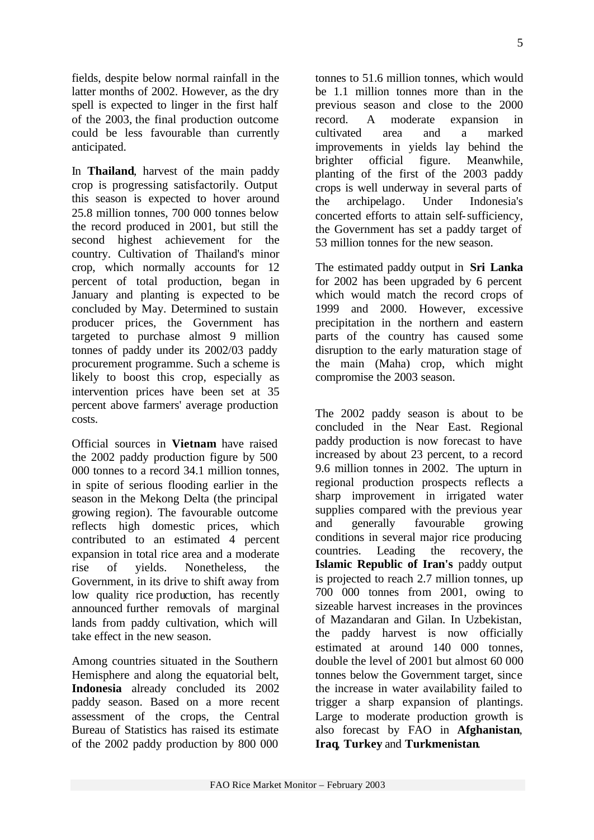fields, despite below normal rainfall in the latter months of 2002. However, as the dry spell is expected to linger in the first half of the 2003, the final production outcome could be less favourable than currently

In **Thailand**, harvest of the main paddy crop is progressing satisfactorily. Output this season is expected to hover around 25.8 million tonnes, 700 000 tonnes below the record produced in 2001, but still the second highest achievement for the country. Cultivation of Thailand's minor crop, which normally accounts for 12 percent of total production, began in January and planting is expected to be concluded by May. Determined to sustain producer prices, the Government has targeted to purchase almost 9 million tonnes of paddy under its 2002/03 paddy procurement programme. Such a scheme is likely to boost this crop, especially as intervention prices have been set at 35 percent above farmers' average production costs.

anticipated.

Official sources in **Vietnam** have raised the 2002 paddy production figure by 500 000 tonnes to a record 34.1 million tonnes, in spite of serious flooding earlier in the season in the Mekong Delta (the principal growing region). The favourable outcome reflects high domestic prices, which contributed to an estimated 4 percent expansion in total rice area and a moderate rise of yields. Nonetheless, the Government, in its drive to shift away from low quality rice production, has recently announced further removals of marginal lands from paddy cultivation, which will take effect in the new season.

Among countries situated in the Southern Hemisphere and along the equatorial belt, **Indonesia** already concluded its 2002 paddy season. Based on a more recent assessment of the crops, the Central Bureau of Statistics has raised its estimate of the 2002 paddy production by 800 000

tonnes to 51.6 million tonnes, which would be 1.1 million tonnes more than in the previous season and close to the 2000 record. A moderate expansion in cultivated area and a marked improvements in yields lay behind the brighter official figure. Meanwhile, planting of the first of the 2003 paddy crops is well underway in several parts of the archipelago. Under Indonesia's concerted efforts to attain self-sufficiency, the Government has set a paddy target of 53 million tonnes for the new season.

The estimated paddy output in **Sri Lanka** for 2002 has been upgraded by 6 percent which would match the record crops of 1999 and 2000. However, excessive precipitation in the northern and eastern parts of the country has caused some disruption to the early maturation stage of the main (Maha) crop, which might compromise the 2003 season.

The 2002 paddy season is about to be concluded in the Near East. Regional paddy production is now forecast to have increased by about 23 percent, to a record 9.6 million tonnes in 2002. The upturn in regional production prospects reflects a sharp improvement in irrigated water supplies compared with the previous year and generally favourable growing conditions in several major rice producing countries. Leading the recovery, the **Islamic Republic of Iran's** paddy output is projected to reach 2.7 million tonnes, up 700 000 tonnes from 2001, owing to sizeable harvest increases in the provinces of Mazandaran and Gilan. In Uzbekistan, the paddy harvest is now officially estimated at around 140 000 tonnes. double the level of 2001 but almost 60 000 tonnes below the Government target, since the increase in water availability failed to trigger a sharp expansion of plantings. Large to moderate production growth is also forecast by FAO in **Afghanistan**, **Iraq**, **Turkey** and **Turkmenistan**.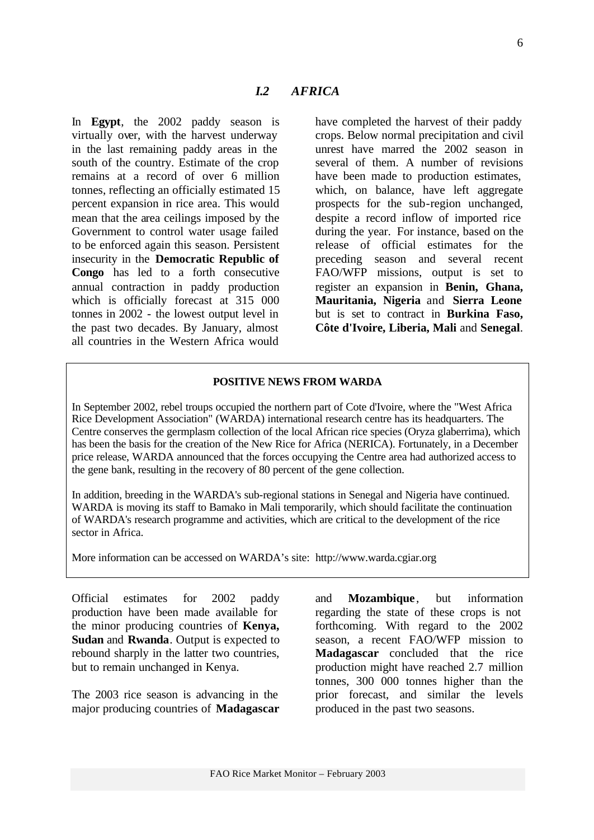In **Egypt**, the 2002 paddy season is virtually over, with the harvest underway in the last remaining paddy areas in the south of the country. Estimate of the crop remains at a record of over 6 million tonnes, reflecting an officially estimated 15 percent expansion in rice area. This would mean that the area ceilings imposed by the Government to control water usage failed to be enforced again this season. Persistent insecurity in the **Democratic Republic of Congo** has led to a forth consecutive annual contraction in paddy production which is officially forecast at 315 000 tonnes in 2002 - the lowest output level in the past two decades. By January, almost all countries in the Western Africa would

have completed the harvest of their paddy crops. Below normal precipitation and civil unrest have marred the 2002 season in several of them. A number of revisions have been made to production estimates, which, on balance, have left aggregate prospects for the sub-region unchanged, despite a record inflow of imported rice during the year. For instance, based on the release of official estimates for the preceding season and several recent FAO/WFP missions, output is set to register an expansion in **Benin, Ghana, Mauritania, Nigeria** and **Sierra Leone** but is set to contract in **Burkina Faso, Côte d'Ivoire, Liberia, Mali** and **Senegal**.

#### **POSITIVE NEWS FROM WARDA**

*I.2 AFRICA*

In September 2002, rebel troups occupied the northern part of Cote d'Ivoire, where the "West Africa Rice Development Association" (WARDA) international research centre has its headquarters. The Centre conserves the germplasm collection of the local African rice species (Oryza glaberrima), which has been the basis for the creation of the New Rice for Africa (NERICA). Fortunately, in a December price release, WARDA announced that the forces occupying the Centre area had authorized access to the gene bank, resulting in the recovery of 80 percent of the gene collection.

In addition, breeding in the WARDA's sub-regional stations in Senegal and Nigeria have continued. WARDA is moving its staff to Bamako in Mali temporarily, which should facilitate the continuation of WARDA's research programme and activities, which are critical to the development of the rice sector in Africa.

More information can be accessed on WARDA's site: http://www.warda.cgiar.org

Official estimates for 2002 paddy production have been made available for the minor producing countries of **Kenya, Sudan** and **Rwanda**. Output is expected to rebound sharply in the latter two countries, but to remain unchanged in Kenya.

The 2003 rice season is advancing in the major producing countries of **Madagascar** and **Mozambique** , but information regarding the state of these crops is not forthcoming. With regard to the 2002 season, a recent FAO/WFP mission to **Madagascar** concluded that the rice production might have reached 2.7 million tonnes, 300 000 tonnes higher than the prior forecast, and similar the levels produced in the past two seasons.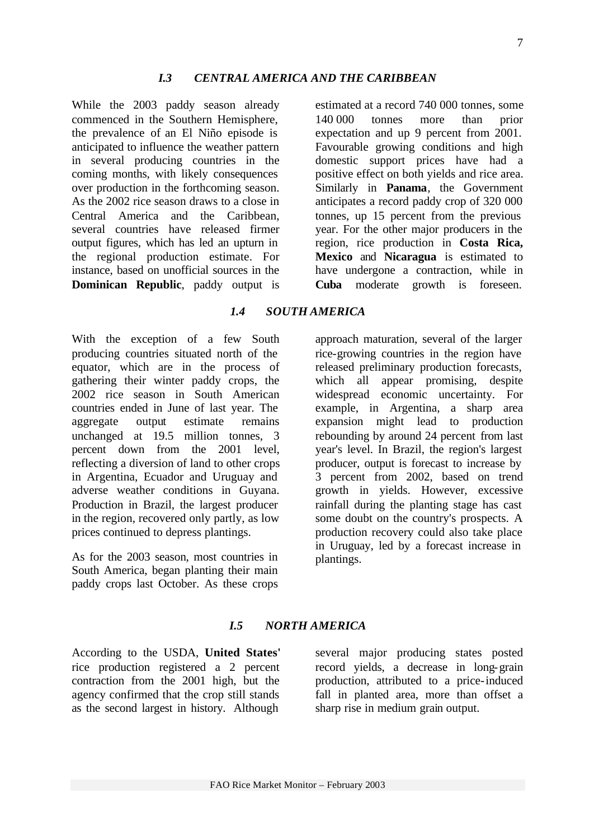*I.5 NORTH AMERICA* 

FAO Rice Market Monitor – February 2003

According to the USDA, **United States'** rice production registered a 2 percent contraction from the 2001 high, but the agency confirmed that the crop still stands as the second largest in history. Although

As for the 2003 season, most countries in South America, began planting their main paddy crops last October. As these crops

> several major producing states posted record yields, a decrease in long-grain production, attributed to a price-induced fall in planted area, more than offset a sharp rise in medium grain output.

*1.4 SOUTH AMERICA* With the exception of a few South

approach maturation, several of the larger rice-growing countries in the region have released preliminary production forecasts, which all appear promising, despite widespread economic uncertainty. For example, in Argentina, a sharp area expansion might lead to production rebounding by around 24 percent from last year's level. In Brazil, the region's largest producer, output is forecast to increase by 3 percent from 2002, based on trend growth in yields. However, excessive rainfall during the planting stage has cast some doubt on the country's prospects. A production recovery could also take place in Uruguay, led by a forecast increase in plantings.

*I.3 CENTRAL AMERICA AND THE CARIBBEAN*

While the 2003 paddy season already commenced in the Southern Hemisphere, the prevalence of an El Niño episode is anticipated to influence the weather pattern in several producing countries in the coming months, with likely consequences over production in the forthcoming season. As the 2002 rice season draws to a close in Central America and the Caribbean, several countries have released firmer output figures, which has led an upturn in the regional production estimate. For instance, based on unofficial sources in the **Dominican Republic**, paddy output is

producing countries situated north of the equator, which are in the process of gathering their winter paddy crops, the 2002 rice season in South American countries ended in June of last year. The aggregate output estimate remains unchanged at 19.5 million tonnes, 3 percent down from the 2001 level, reflecting a diversion of land to other crops in Argentina, Ecuador and Uruguay and adverse weather conditions in Guyana. Production in Brazil, the largest producer in the region, recovered only partly, as low prices continued to depress plantings.

estimated at a record 740 000 tonnes, some 140 000 tonnes more than prior expectation and up 9 percent from 2001. Favourable growing conditions and high domestic support prices have had a positive effect on both yields and rice area. Similarly in **Panama**, the Government anticipates a record paddy crop of 320 000 tonnes, up 15 percent from the previous year. For the other major producers in the region, rice production in **Costa Rica, Mexico** and **Nicaragua** is estimated to have undergone a contraction, while in **Cuba** moderate growth is foreseen.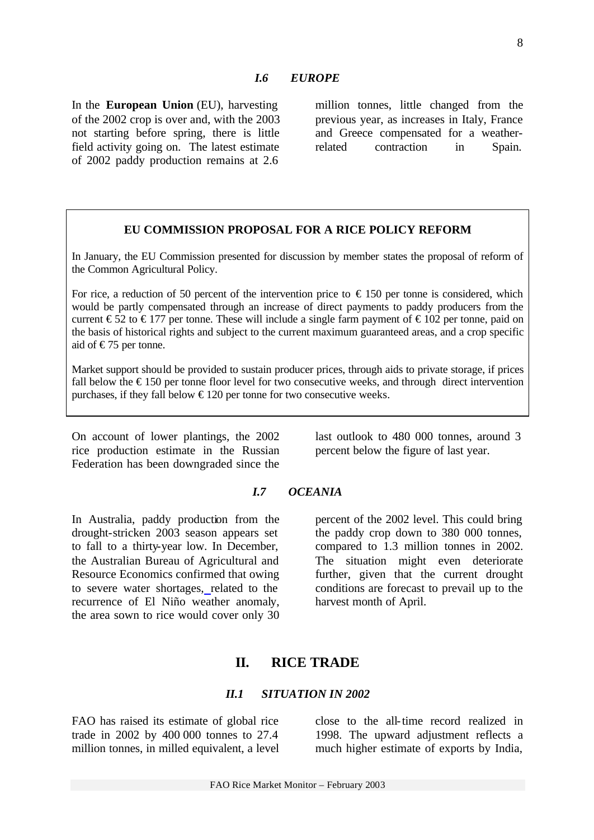In the **European Union** (EU), harvesting of the 2002 crop is over and, with the 2003 not starting before spring, there is little field activity going on. The latest estimate of 2002 paddy production remains at 2.6

million tonnes, little changed from the previous year, as increases in Italy, France and Greece compensated for a weatherrelated contraction in Spain.

### **EU COMMISSION PROPOSAL FOR A RICE POLICY REFORM**

In January, the EU Commission presented for discussion by member states the proposal of reform of the Common Agricultural Policy.

For rice, a reduction of 50 percent of the intervention price to  $\epsilon$  150 per tonne is considered, which would be partly compensated through an increase of direct payments to paddy producers from the current  $\epsilon$ 52 to  $\epsilon$ 177 per tonne. These will include a single farm payment of  $\epsilon$ 102 per tonne, paid on the basis of historical rights and subject to the current maximum guaranteed areas, and a crop specific aid of  $\epsilon$ 75 per tonne.

Market support should be provided to sustain producer prices, through aids to private storage, if prices fall below the  $\epsilon$ 150 per tonne floor level for two consecutive weeks, and through direct intervention purchases, if they fall below  $\epsilon$ 120 per tonne for two consecutive weeks.

On account of lower plantings, the 2002 rice production estimate in the Russian Federation has been downgraded since the last outlook to 480 000 tonnes, around 3 percent below the figure of last year.

### *I.7 OCEANIA*

In Australia, paddy production from the drought-stricken 2003 season appears set to fall to a thirty-year low. In December, the Australian Bureau of Agricultural and Resource Economics confirmed that owing to severe water shortages, related to the recurrence of El Niño weather anomaly, the area sown to rice would cover only 30

percent of the 2002 level. This could bring the paddy crop down to 380 000 tonnes, compared to 1.3 million tonnes in 2002. The situation might even deteriorate further, given that the current drought conditions are forecast to prevail up to the harvest month of April.

# **II. RICE TRADE**

### *II.1 SITUATION IN 2002*

FAO has raised its estimate of global rice trade in 2002 by 400 000 tonnes to 27.4 million tonnes, in milled equivalent, a level close to the all-time record realized in 1998. The upward adjustment reflects a much higher estimate of exports by India,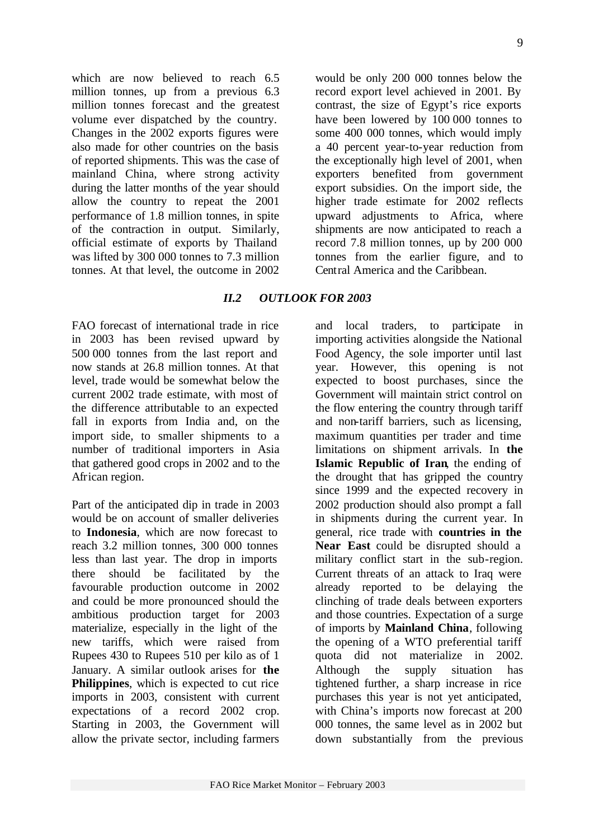which are now believed to reach 6.5 million tonnes, up from a previous 6.3 million tonnes forecast and the greatest volume ever dispatched by the country. Changes in the 2002 exports figures were also made for other countries on the basis of reported shipments. This was the case of mainland China, where strong activity during the latter months of the year should allow the country to repeat the 2001 performance of 1.8 million tonnes, in spite of the contraction in output. Similarly, official estimate of exports by Thailand was lifted by 300 000 tonnes to 7.3 million tonnes. At that level, the outcome in 2002

would be only 200 000 tonnes below the record export level achieved in 2001. By contrast, the size of Egypt's rice exports have been lowered by 100 000 tonnes to some 400 000 tonnes, which would imply a 40 percent year-to-year reduction from the exceptionally high level of 2001, when exporters benefited from government export subsidies. On the import side, the higher trade estimate for 2002 reflects upward adjustments to Africa, where shipments are now anticipated to reach a record 7.8 million tonnes, up by 200 000 tonnes from the earlier figure, and to Central America and the Caribbean.

### *II.2 OUTLOOK FOR 2003*

FAO forecast of international trade in rice in 2003 has been revised upward by 500 000 tonnes from the last report and now stands at 26.8 million tonnes. At that level, trade would be somewhat below the current 2002 trade estimate, with most of the difference attributable to an expected fall in exports from India and, on the import side, to smaller shipments to a number of traditional importers in Asia that gathered good crops in 2002 and to the African region.

Part of the anticipated dip in trade in 2003 would be on account of smaller deliveries to **Indonesia**, which are now forecast to reach 3.2 million tonnes, 300 000 tonnes less than last year. The drop in imports there should be facilitated by the favourable production outcome in 2002 and could be more pronounced should the ambitious production target for 2003 materialize, especially in the light of the new tariffs, which were raised from Rupees 430 to Rupees 510 per kilo as of 1 January. A similar outlook arises for **the Philippines**, which is expected to cut rice imports in 2003, consistent with current expectations of a record 2002 crop. Starting in 2003, the Government will allow the private sector, including farmers

and local traders, to participate in importing activities alongside the National Food Agency, the sole importer until last year. However, this opening is not expected to boost purchases, since the Government will maintain strict control on the flow entering the country through tariff and non-tariff barriers, such as licensing, maximum quantities per trader and time limitations on shipment arrivals. In **the Islamic Republic of Iran**, the ending of the drought that has gripped the country since 1999 and the expected recovery in 2002 production should also prompt a fall in shipments during the current year. In general, rice trade with **countries in the Near East** could be disrupted should a military conflict start in the sub-region. Current threats of an attack to Iraq were already reported to be delaying the clinching of trade deals between exporters and those countries. Expectation of a surge of imports by **Mainland China**, following the opening of a WTO preferential tariff quota did not materialize in 2002. Although the supply situation has tightened further, a sharp increase in rice purchases this year is not yet anticipated, with China's imports now forecast at 200 000 tonnes, the same level as in 2002 but down substantially from the previous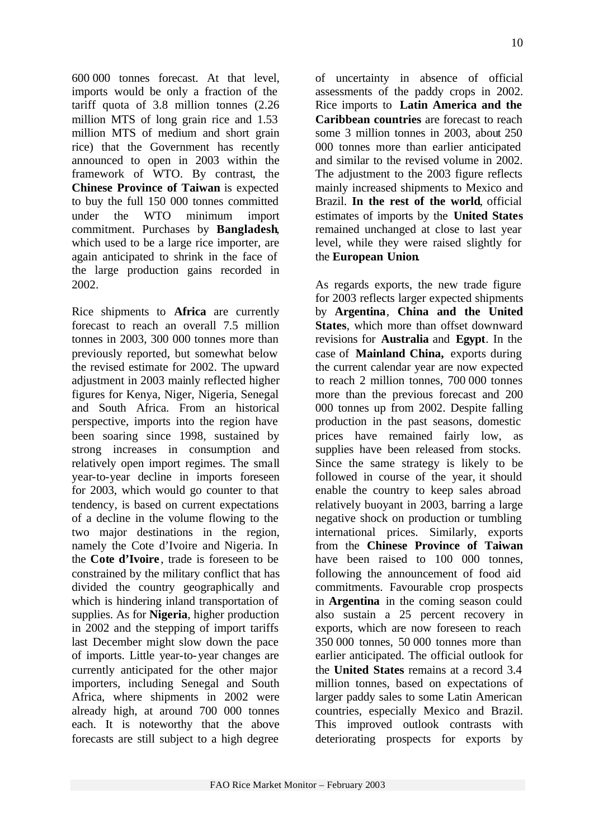600 000 tonnes forecast. At that level, imports would be only a fraction of the tariff quota of 3.8 million tonnes (2.26 million MTS of long grain rice and 1.53 million MTS of medium and short grain rice) that the Government has recently announced to open in 2003 within the framework of WTO. By contrast, the **Chinese Province of Taiwan** is expected to buy the full 150 000 tonnes committed under the WTO minimum import commitment. Purchases by **Bangladesh**, which used to be a large rice importer, are again anticipated to shrink in the face of the large production gains recorded in 2002.

Rice shipments to **Africa** are currently forecast to reach an overall 7.5 million tonnes in 2003, 300 000 tonnes more than previously reported, but somewhat below the revised estimate for 2002. The upward adjustment in 2003 mainly reflected higher figures for Kenya, Niger, Nigeria, Senegal and South Africa. From an historical perspective, imports into the region have been soaring since 1998, sustained by strong increases in consumption and relatively open import regimes. The small year-to-year decline in imports foreseen for 2003, which would go counter to that tendency, is based on current expectations of a decline in the volume flowing to the two major destinations in the region, namely the Cote d'Ivoire and Nigeria. In the **Cote d'Ivoire** , trade is foreseen to be constrained by the military conflict that has divided the country geographically and which is hindering inland transportation of supplies. As for **Nigeria**, higher production in 2002 and the stepping of import tariffs last December might slow down the pace of imports. Little year-to-year changes are currently anticipated for the other major importers, including Senegal and South Africa, where shipments in 2002 were already high, at around 700 000 tonnes each. It is noteworthy that the above forecasts are still subject to a high degree

of uncertainty in absence of official assessments of the paddy crops in 2002. Rice imports to **Latin America and the Caribbean countries** are forecast to reach some 3 million tonnes in 2003, about 250 000 tonnes more than earlier anticipated and similar to the revised volume in 2002. The adjustment to the 2003 figure reflects mainly increased shipments to Mexico and Brazil. **In the rest of the world**, official estimates of imports by the **United States** remained unchanged at close to last year level, while they were raised slightly for the **European Union**.

As regards exports, the new trade figure for 2003 reflects larger expected shipments by **Argentina**, **China and the United States**, which more than offset downward revisions for **Australia** and **Egypt**. In the case of **Mainland China,** exports during the current calendar year are now expected to reach 2 million tonnes, 700 000 tonnes more than the previous forecast and 200 000 tonnes up from 2002. Despite falling production in the past seasons, domestic prices have remained fairly low, as supplies have been released from stocks. Since the same strategy is likely to be followed in course of the year, it should enable the country to keep sales abroad relatively buoyant in 2003, barring a large negative shock on production or tumbling international prices. Similarly, exports from the **Chinese Province of Taiwan** have been raised to 100 000 tonnes, following the announcement of food aid commitments. Favourable crop prospects in **Argentina** in the coming season could also sustain a 25 percent recovery in exports, which are now foreseen to reach 350 000 tonnes, 50 000 tonnes more than earlier anticipated. The official outlook for the **United States** remains at a record 3.4 million tonnes, based on expectations of larger paddy sales to some Latin American countries, especially Mexico and Brazil. This improved outlook contrasts with deteriorating prospects for exports by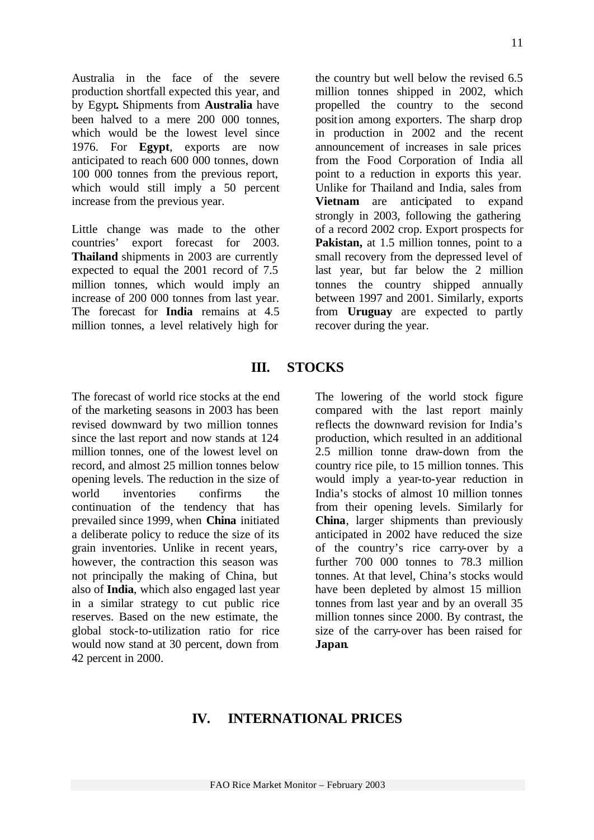Australia in the face of the severe production shortfall expected this year, and by Egypt**.** Shipments from **Australia** have been halved to a mere 200 000 tonnes, which would be the lowest level since 1976. For **Egypt**, exports are now anticipated to reach 600 000 tonnes, down 100 000 tonnes from the previous report, which would still imply a 50 percent increase from the previous year.

Little change was made to the other countries' export forecast for 2003. **Thailand** shipments in 2003 are currently expected to equal the 2001 record of 7.5 million tonnes, which would imply an increase of 200 000 tonnes from last year. The forecast for **India** remains at 4.5 million tonnes, a level relatively high for

the country but well below the revised 6.5 million tonnes shipped in 2002, which propelled the country to the second position among exporters. The sharp drop in production in 2002 and the recent announcement of increases in sale prices from the Food Corporation of India all point to a reduction in exports this year. Unlike for Thailand and India, sales from **Vietnam** are anticipated to expand strongly in 2003, following the gathering of a record 2002 crop. Export prospects for Pakistan, at 1.5 million tonnes, point to a small recovery from the depressed level of last year, but far below the 2 million tonnes the country shipped annually between 1997 and 2001. Similarly, exports from **Uruguay** are expected to partly recover during the year.

# **III. STOCKS**

The forecast of world rice stocks at the end of the marketing seasons in 2003 has been revised downward by two million tonnes since the last report and now stands at 124 million tonnes, one of the lowest level on record, and almost 25 million tonnes below opening levels. The reduction in the size of world inventories confirms the continuation of the tendency that has prevailed since 1999, when **China** initiated a deliberate policy to reduce the size of its grain inventories. Unlike in recent years, however, the contraction this season was not principally the making of China, but also of **India**, which also engaged last year in a similar strategy to cut public rice reserves. Based on the new estimate, the global stock-to-utilization ratio for rice would now stand at 30 percent, down from 42 percent in 2000.

The lowering of the world stock figure compared with the last report mainly reflects the downward revision for India's production, which resulted in an additional 2.5 million tonne draw-down from the country rice pile, to 15 million tonnes. This would imply a year-to-year reduction in India's stocks of almost 10 million tonnes from their opening levels. Similarly for **China**, larger shipments than previously anticipated in 2002 have reduced the size of the country's rice carry-over by a further 700 000 tonnes to 78.3 million tonnes. At that level, China's stocks would have been depleted by almost 15 million tonnes from last year and by an overall 35 million tonnes since 2000. By contrast, the size of the carry-over has been raised for **Japan**.

# **IV. INTERNATIONAL PRICES**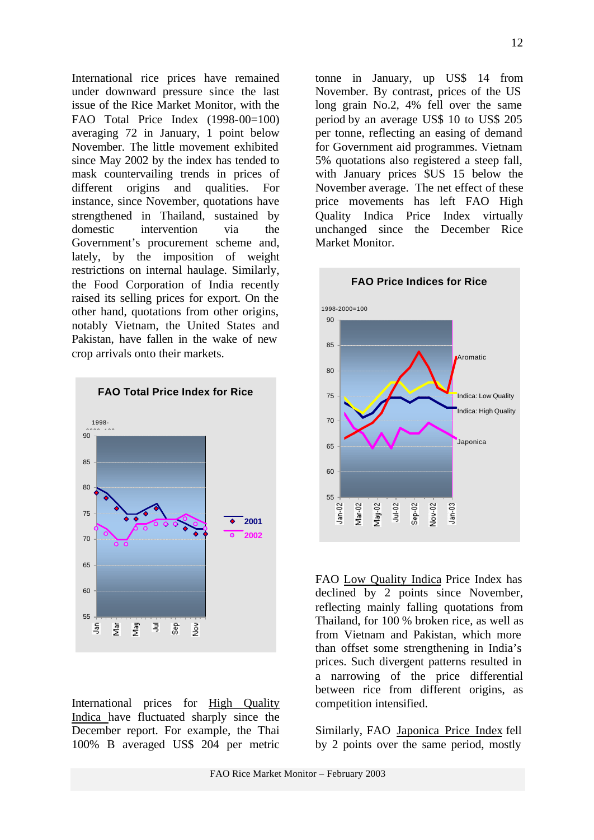International rice prices have remained under downward pressure since the last issue of the Rice Market Monitor, with the FAO Total Price Index (1998-00=100) averaging 72 in January, 1 point below November. The little movement exhibited since May 2002 by the index has tended to mask countervailing trends in prices of different origins and qualities. For instance, since November, quotations have strengthened in Thailand, sustained by domestic intervention via the Government's procurement scheme and, lately, by the imposition of weight restrictions on internal haulage. Similarly, the Food Corporation of India recently raised its selling prices for export. On the other hand, quotations from other origins, notably Vietnam, the United States and Pakistan, have fallen in the wake of new crop arrivals onto their markets.



International prices for High Quality Indica have fluctuated sharply since the December report. For example, the Thai 100% B averaged US\$ 204 per metric

tonne in January, up US\$ 14 from November. By contrast, prices of the US long grain No.2, 4% fell over the same period by an average US\$ 10 to US\$ 205 per tonne, reflecting an easing of demand for Government aid programmes. Vietnam 5% quotations also registered a steep fall, with January prices \$US 15 below the November average. The net effect of these price movements has left FAO High Quality Indica Price Index virtually unchanged since the December Rice Market Monitor.



FAO Low Quality Indica Price Index has declined by 2 points since November, reflecting mainly falling quotations from Thailand, for 100 % broken rice, as well as from Vietnam and Pakistan, which more than offset some strengthening in India's prices. Such divergent patterns resulted in a narrowing of the price differential between rice from different origins, as competition intensified.

Similarly, FAO Japonica Price Index fell by 2 points over the same period, mostly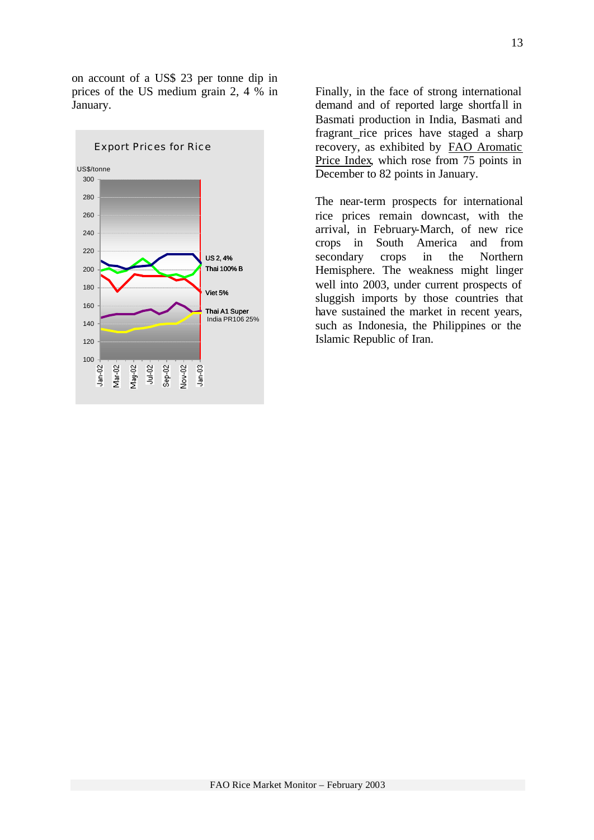on account of a US\$ 23 per tonne dip in prices of the US medium grain 2, 4 % in January.



Finally, in the face of strong international demand and of reported large shortfall in Basmati production in India, Basmati and fragrant rice prices have staged a sharp recovery, as exhibited by FAO Aromatic Price Index, which rose from 75 points in December to 82 points in January.

The near-term prospects for international rice prices remain downcast, with the arrival, in February-March, of new rice crops in South America and from secondary crops in the Northern Hemisphere. The weakness might linger well into 2003, under current prospects of sluggish imports by those countries that have sustained the market in recent years, such as Indonesia, the Philippines or the Islamic Republic of Iran.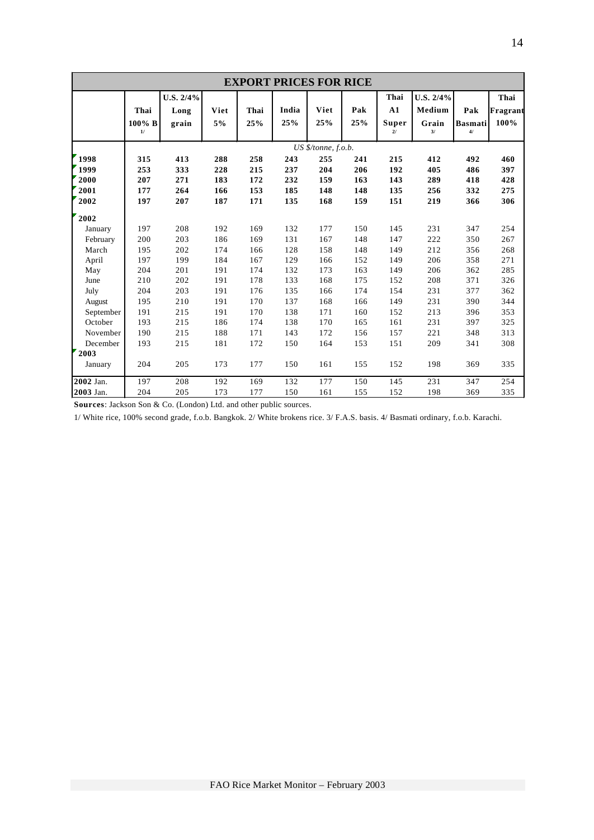| <b>EXPORT PRICES FOR RICE</b>                  |                                 |                                 |                                 |                                 |                                 |                                                 |                                 |                                 |                                    |                                 |                                 |
|------------------------------------------------|---------------------------------|---------------------------------|---------------------------------|---------------------------------|---------------------------------|-------------------------------------------------|---------------------------------|---------------------------------|------------------------------------|---------------------------------|---------------------------------|
|                                                | Thai<br>$100\%$ B<br>1/         | U.S. 2/4%<br>Long<br>grain      | Viet<br>5%                      | Thai<br>25%                     | India<br>25%                    | Viet<br>25%                                     | Pak<br>25%                      | Thai<br>A1<br>Super<br>21       | U.S. 2/4%<br>Medium<br>Grain<br>3/ | Pak<br><b>Basmati</b><br>4/     | Thai<br>Fragrant<br>100%        |
| 1998<br>1999<br>2000<br>2001                   | 315<br>253<br>207<br>177        | 413<br>333<br>271<br>264        | 288<br>228<br>183<br>166        | 258<br>215<br>172<br>153        | 243<br>237<br>232<br>185        | US \$/tonne, f.o.b.<br>255<br>204<br>159<br>148 | 241<br>206<br>163<br>148        | 215<br>192<br>143<br>135        | 412<br>405<br>289<br>256           | 492<br>486<br>418<br>332        | 460<br>397<br>428<br>275        |
| 2002<br>2002<br>January                        | 197<br>197                      | 207<br>208                      | 187<br>192<br>186               | 171<br>169                      | 135<br>132                      | 168<br>177<br>167                               | 159<br>150<br>148               | 151<br>145                      | 219<br>231                         | 366<br>347<br>350               | 306<br>254<br>267               |
| February<br>March<br>April<br>May              | 200<br>195<br>197<br>204        | 203<br>202<br>199<br>201        | 174<br>184<br>191               | 169<br>166<br>167<br>174        | 131<br>128<br>129<br>132        | 158<br>166<br>173                               | 148<br>152<br>163               | 147<br>149<br>149<br>149        | 222<br>212<br>206<br>206           | 356<br>358<br>362               | 268<br>271<br>285               |
| June<br>July<br>August<br>September<br>October | 210<br>204<br>195<br>191<br>193 | 202<br>203<br>210<br>215<br>215 | 191<br>191<br>191<br>191<br>186 | 178<br>176<br>170<br>170<br>174 | 133<br>135<br>137<br>138<br>138 | 168<br>166<br>168<br>171<br>170                 | 175<br>174<br>166<br>160<br>165 | 152<br>154<br>149<br>152<br>161 | 208<br>231<br>231<br>213<br>231    | 371<br>377<br>390<br>396<br>397 | 326<br>362<br>344<br>353<br>325 |
| November<br>December<br>2003<br>January        | 190<br>193<br>204               | 215<br>215<br>205               | 188<br>181<br>173               | 171<br>172<br>177               | 143<br>150<br>150               | 172<br>164<br>161                               | 156<br>153<br>155               | 157<br>151<br>152               | 221<br>209<br>198                  | 348<br>341<br>369               | 313<br>308<br>335               |
| 2002 Jan.<br>2003 Jan.                         | 197<br>204                      | 208<br>205                      | 192<br>173                      | 169<br>177                      | 132<br>150                      | 177<br>161                                      | 150<br>155                      | 145<br>152                      | 231<br>198                         | 347<br>369                      | 254<br>335                      |

**Sources**: Jackson Son & Co. (London) Ltd. and other public sources.

1/ White rice, 100% second grade, f.o.b. Bangkok. 2/ White brokens rice. 3/ F.A.S. basis. 4/ Basmati ordinary, f.o.b. Karachi.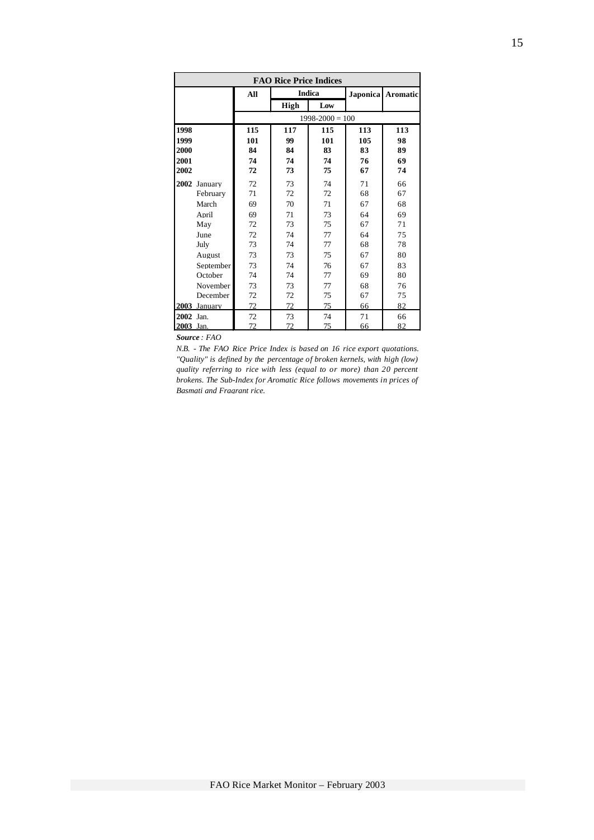| <b>FAO Rice Price Indices</b> |              |     |             |                     |     |                   |  |  |  |
|-------------------------------|--------------|-----|-------------|---------------------|-----|-------------------|--|--|--|
|                               |              | All |             | <b>Indica</b>       |     | Japonica Aromatic |  |  |  |
|                               |              |     | <b>High</b> | Low                 |     |                   |  |  |  |
|                               |              |     |             | $1998 - 2000 = 100$ |     |                   |  |  |  |
| 1998                          |              | 115 | 117         | 115                 | 113 | 113               |  |  |  |
| 1999                          |              | 101 | 99          | 101                 | 105 | 98                |  |  |  |
| 2000                          |              | 84  | 84          | 83                  | 83  | 89                |  |  |  |
| 2001                          |              | 74  | 74          | 74                  | 76  | 69                |  |  |  |
| 2002                          |              | 72  | 73          | 75                  | 67  | 74                |  |  |  |
|                               | 2002 January | 72  | 73          | 74                  | 71  | 66                |  |  |  |
|                               | February     | 71  | 72          | 72                  | 68  | 67                |  |  |  |
|                               | March        | 69  | 70          | 71                  | 67  | 68                |  |  |  |
|                               | April        | 69  | 71          | 73                  | 64  | 69                |  |  |  |
|                               | May          | 72  | 73          | 75                  | 67  | 71                |  |  |  |
|                               | June         | 72  | 74          | 77                  | 64  | 75                |  |  |  |
|                               | July         | 73  | 74          | 77                  | 68  | 78                |  |  |  |
|                               | August       | 73  | 73          | 75                  | 67  | 80                |  |  |  |
|                               | September    | 73  | 74          | 76                  | 67  | 83                |  |  |  |
|                               | October      | 74  | 74          | 77                  | 69  | 80                |  |  |  |
|                               | November     | 73  | 73          | 77                  | 68  | 76                |  |  |  |
|                               | December     | 72  | 72          | 75                  | 67  | 75                |  |  |  |
|                               | 2003 January | 72  | 72          | 75                  | 66  | 82                |  |  |  |
| 2002 Jan.                     |              | 72  | 73          | 74                  | 71  | 66                |  |  |  |
| 2003 Jan.                     |              | 72  | 72          | 75                  | 66  | 82                |  |  |  |

*Source : FAO* 

*N.B. - The FAO Rice Price Index is based on 16 rice export quotations. "Quality" is defined by the percentage of broken kernels, with high (low) quality referring to rice with less (equal to or more) than 20 percent brokens. The Sub-Index for Aromatic Rice follows movements in prices of Basmati and Fragrant rice.*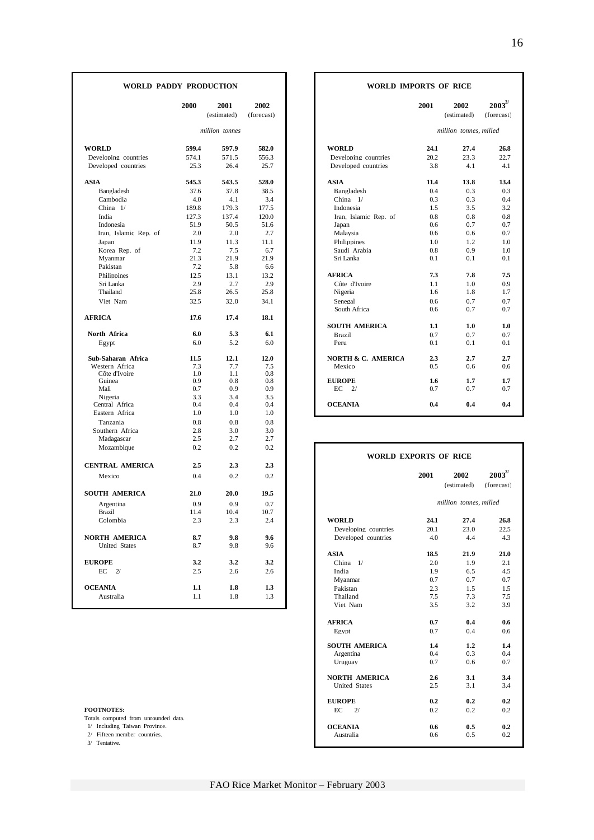| WORLD PADDY PRODUCTION     |         |                     |                    | <b>WORLD IMPORTS OF RICE</b> |      |                        |                            |
|----------------------------|---------|---------------------|--------------------|------------------------------|------|------------------------|----------------------------|
|                            | 2000    | 2001<br>(estimated) | 2002<br>(forecast) |                              | 2001 | 2002<br>(estimated)    | $2003^{3/2}$<br>(forecast) |
|                            |         | million tonnes      |                    |                              |      | million tonnes, milled |                            |
|                            |         |                     |                    |                              |      |                        |                            |
| <b>WORLD</b>               | 599.4   | 597.9               | 582.0              | <b>WORLD</b>                 | 24.1 | 27.4                   | 26.8                       |
| Developing countries       | 574.1   | 571.5               | 556.3              | Developing countries         | 20.2 | 23.3                   | 22.7                       |
| Developed countries        | 25.3    | 26.4                | 25.7               | Developed countries          | 3.8  | 4.1                    | 4.1                        |
| <b>ASIA</b>                | 545.3   | 543.5               | 528.0              | <b>ASIA</b>                  | 11.4 | 13.8                   | 13.4                       |
| Bangladesh                 | 37.6    | 37.8                | 38.5               | Bangladesh                   | 0.4  | 0.3                    | 0.3                        |
| Cambodia                   | 4.0     | 4.1                 | 3.4                | China 1/                     | 0.3  | 0.3                    | 0.4                        |
| China 1/                   | 189.8   | 179.3               | 177.5              | Indonesia                    | 1.5  | 3.5                    | 3.2                        |
| India                      | 127.3   | 137.4               | 120.0              | Iran. Islamic Rep. of        | 0.8  | 0.8                    | 0.8                        |
| Indonesia                  | 51.9    | 50.5                | 51.6               | Japan                        | 0.6  | 0.7                    | 0.7                        |
| Iran, Islamic Rep. of      | 2.0     | 2.0                 | 2.7                | Malaysia                     | 0.6  | 0.6                    | 0.7                        |
| Japan                      | 11.9    | 11.3                | 11.1               | Philippines                  | 1.0  | 1.2                    | 1.0                        |
| Korea Rep. of              | 7.2     | 7.5                 | 6.7                | Saudi Arabia                 | 0.8  | 0.9                    | 1.0                        |
| Myanmar                    | 21.3    | 21.9                | 21.9               | Sri Lanka                    | 0.1  | 0.1                    | 0.1                        |
| Pakistan                   | 7.2     | 5.8                 | 6.6                |                              |      |                        |                            |
| Philippines                | 12.5    | 13.1                | 13.2               | <b>AFRICA</b>                | 7.3  | 7.8                    | 7.5                        |
| Sri Lanka                  | 2.9     | 2.7                 | 2.9                | Côte d'Ivoire                | 1.1  | 1.0                    | 0.9                        |
| Thailand                   | 25.8    | 26.5                | 25.8               | Nigeria                      | 1.6  | 1.8                    | 1.7                        |
| Viet Nam                   | 32.5    | 32.0                | 34.1               | Senegal                      | 0.6  | 0.7                    | 0.7                        |
|                            |         |                     |                    | South Africa                 | 0.6  | 0.7                    | 0.7                        |
| <b>AFRICA</b>              | 17.6    | 17.4                | 18.1               |                              |      |                        |                            |
|                            |         |                     |                    | <b>SOUTH AMERICA</b>         | 1.1  | 1.0                    | 1.0                        |
| North Africa               | 6.0     | 5.3                 | 6.1                | Brazil                       | 0.7  | 0.7                    | 0.7                        |
| Egypt                      | 6.0     | 5.2                 | 6.0                | Peru                         | 0.1  | 0.1                    | 0.1                        |
| Sub-Saharan Africa         | 11.5    | 12.1                | 12.0               | NORTH & C. AMERICA           | 2.3  | 2.7                    | 2.7                        |
| Western Africa             | 7.3     | 7.7                 | 7.5                | Mexico                       | 0.5  | 0.6                    | 0.6                        |
| Côte d'Ivoire              | 1.0     | 1.1                 | 0.8                |                              |      |                        |                            |
| Guinea                     | 0.9     | 0.8                 | 0.8                | <b>EUROPE</b>                | 1.6  | 1.7                    | 1.7                        |
| Mali                       | 0.7     | 0.9                 | 0.9                | EC<br>2/                     | 0.7  | 0.7                    | 0.7                        |
| Nigeria                    | 3.3     | 3.4                 | 3.5                |                              |      |                        |                            |
| Central Africa             | 0.4     | 0.4                 | 0.4                | <b>OCEANIA</b>               | 0.4  | 0.4                    | 0.4                        |
| Eastern Africa             | 1.0     | 1.0                 | 1.0                |                              |      |                        |                            |
| Tanzania                   | 0.8     | 0.8                 | 0.8                |                              |      |                        |                            |
| Southern Africa            | 2.8     | 3.0                 | 3.0                |                              |      |                        |                            |
| Madagascar                 | 2.5     | 2.7                 | 2.7                |                              |      |                        |                            |
| Mozambique                 | 0.2     | 0.2                 | 0.2                | <b>WORLD EXPORTS OF RICE</b> |      |                        |                            |
| <b>CENTRAL AMERICA</b>     | 2.5     | 2.3                 | 2.3                |                              |      |                        |                            |
| Mexico                     | 0.4     | 0.2                 | 0.2                |                              | 2001 | 2002                   | $2003^{3/2}$               |
| <b>SOUTH AMERICA</b>       | 21.0    | 20.0                | 19.5               |                              |      | (estimated)            | (forecast)                 |
|                            |         |                     |                    |                              |      | million tonnes, milled |                            |
| Argentina<br><b>Brazil</b> | 0.9     | 0.9                 | 0.7                |                              |      |                        |                            |
|                            | 11.4    | 10.4                | 10.7               |                              |      |                        |                            |
| Colombia                   | 2.3     | 2.3                 | 2.4                | <b>WORLD</b>                 | 24.1 | 27.4                   | 26.8                       |
|                            |         |                     |                    | Developing countries         | 20.1 | 23.0                   | 22.5                       |
| <b>NORTH AMERICA</b>       | 8.7     | 9.8                 | 9.6                | Developed countries          | 4.0  | 4.4                    | 4.3                        |
| <b>United States</b>       | 8.7     | 9.8                 | 9.6                |                              |      |                        |                            |
|                            |         |                     |                    | ASIA                         | 18.5 | 21.9                   | 21.0                       |
| <b>EUROPE</b>              | 3.2     | 3.2                 | 3.2                | China 1/                     | 2.0  | 1.9                    | 2.1                        |
| $EC$ 2/                    | 2.5     | 2.6                 | 2.6                | India                        | 1.9  | 6.5                    | 4.5                        |
|                            |         |                     |                    | Myanmar                      | 0.7  | 0.7                    | 0.7                        |
| <b>OCEANIA</b>             | $1.1\,$ | 1.8                 | 1.3                | Pakistan                     | 2.3  | 1.5                    | 1.5                        |
| Australia                  | 1.1     | 1.8                 | 1.3                | Thailand                     | 7.5  | 7.3                    | 7.5                        |
|                            |         |                     |                    | Viet Nam                     | 3.5  | 3.2                    | 3.9                        |

- 
- 

#### **WORLD IMPORTS OF RICE**

| 2000           | 2001<br>(estimated) | 2002<br>(forecast) |                               | 2001       | 2002<br>(estimated)    | $2003^{3/2}$<br>(forecast) |
|----------------|---------------------|--------------------|-------------------------------|------------|------------------------|----------------------------|
|                | million tonnes      |                    |                               |            | million tonnes, milled |                            |
| 599.4          | 597.9               | 582.0              | <b>WORLD</b>                  | 24.1       | 27.4                   | 26.8                       |
| 574.1          | 571.5               | 556.3              | Developing countries          | 20.2       | 23.3                   | 22.7                       |
| 25.3           | 26.4                | 25.7               | Developed countries           | 3.8        | 4.1                    | 4.1                        |
| 545.3          | 543.5               | 528.0              | <b>ASIA</b>                   | 11.4       | 13.8                   | 13.4                       |
| 37.6           | 37.8                | 38.5               | Bangladesh                    | 0.4        | 0.3                    | 0.3                        |
| 4.0            | 4.1                 | 3.4                | China $1/$                    | 0.3        | 0.3                    | 0.4                        |
| 189.8          | 179.3               | 177.5              | Indonesia                     | 1.5        | 3.5                    | 3.2                        |
| 127.3          | 137.4               | 120.0              | Iran, Islamic Rep. of         | 0.8        | 0.8                    | 0.8                        |
| 51.9           | 50.5                | 51.6               | Japan                         | 0.6        | 0.7                    | 0.7                        |
| 2.0            | 2.0                 | 2.7                | Malaysia                      | 0.6        | 0.6                    | 0.7                        |
| 11.9           | 11.3                | 11.1               | Philippines                   | 1.0        | 1.2                    | 1.0                        |
| 7.2            | 7.5                 | 6.7                | Saudi Arabia                  | 0.8        | 0.9                    | 1.0                        |
| 21.3           | 21.9                | 21.9               | Sri Lanka                     | 0.1        | 0.1                    | 0.1                        |
| 7.2            | 5.8                 | 6.6                |                               |            |                        |                            |
| 12.5           | 13.1                | 13.2               | <b>AFRICA</b>                 | 7.3        | 7.8                    | 7.5                        |
| 2.9            | 2.7                 | 2.9                | Côte d'Ivoire                 | 1.1        | 1.0                    | 0.9                        |
| 25.8           | 26.5                | 25.8               | Nigeria                       | 1.6        | 1.8                    | 1.7                        |
| 32.5           | 32.0                | 34.1               | Senegal                       | 0.6        | 0.7                    | 0.7                        |
|                |                     |                    | South Africa                  | 0.6        | 0.7                    | 0.7                        |
| 17.6           | 17.4                | 18.1               |                               |            |                        |                            |
|                |                     |                    | <b>SOUTH AMERICA</b>          | 1.1        | 1.0                    | 1.0                        |
| 6.0            | 5.3                 | 6.1                | <b>Brazil</b>                 | 0.7        | 0.7                    | 0.7                        |
| 6.0            | 5.2                 | 6.0                | Peru                          | 0.1        | 0.1                    | 0.1                        |
| 11.5           | 12.1                | 12.0               | <b>NORTH &amp; C. AMERICA</b> | 2.3        | 2.7                    | 2.7                        |
| 7.3            | 7.7                 | 7.5                | Mexico                        | 0.5        | 0.6                    | 0.6                        |
| 1.0            | 1.1                 | 0.8                |                               |            |                        |                            |
| 0.9<br>0.7     | 0.8                 | 0.8<br>0.9         | <b>EUROPE</b><br>EC<br>2/     | 1.6<br>0.7 | 1.7<br>0.7             | 1.7                        |
| 3.3            | 0.9<br>3.4          | 3.5                |                               |            |                        | 0.7                        |
| 0.4            | 0.4                 | 0.4                | <b>OCEANIA</b>                | 0.4        | 0.4                    | 0.4                        |
| 1 <sub>0</sub> | $1 \Omega$          | 1 <sub>0</sub>     |                               |            |                        |                            |

| Mozambique                           | 0.2  | 0.2  | 0.2  |                      | <b>WORLD EXPORTS OF RICE</b> |                        |              |
|--------------------------------------|------|------|------|----------------------|------------------------------|------------------------|--------------|
| <b>CENTRAL AMERICA</b>               | 2.5  | 2.3  | 2.3  |                      |                              |                        |              |
| Mexico                               | 0.4  | 0.2  | 0.2  |                      | 2001                         | 2002                   | $2003^{3/2}$ |
|                                      |      |      |      |                      |                              | (estimated)            | (forecast)   |
| SOUTH AMERICA                        | 21.0 | 20.0 | 19.5 |                      |                              |                        |              |
| Argentina                            | 0.9  | 0.9  | 0.7  |                      |                              | million tonnes, milled |              |
| <b>Brazil</b>                        | 11.4 | 10.4 | 10.7 |                      |                              |                        |              |
| Colombia                             | 2.3  | 2.3  | 2.4  | <b>WORLD</b>         | 24.1                         | 27.4                   | 26.8         |
|                                      |      |      |      | Developing countries | 20.1                         | 23.0                   | 22.5         |
| <b>NORTH AMERICA</b>                 | 8.7  | 9.8  | 9.6  | Developed countries  | 4.0                          | 4.4                    | 4.3          |
| <b>United States</b>                 | 8.7  | 9.8  | 9.6  |                      |                              |                        |              |
|                                      |      |      |      | <b>ASIA</b>          | 18.5                         | 21.9                   | 21.0         |
| <b>EUROPE</b>                        | 3.2  | 3.2  | 3.2  | China $1/$           | 2.0                          | 1.9                    | 2.1          |
| EC<br>$\overline{2}$                 | 2.5  | 2.6  | 2.6  | India                | 1.9                          | 6.5                    | 4.5          |
|                                      |      |      |      | Myanmar              | 0.7                          | 0.7                    | 0.7          |
| <b>OCEANIA</b>                       | 1.1  | 1.8  | 1.3  | Pakistan             | 2.3                          | 1.5                    | 1.5          |
| Australia                            | 1.1  | 1.8  | 1.3  | Thailand             | 7.5                          | 7.3                    | 7.5          |
|                                      |      |      |      | Viet Nam             | 3.5                          | 3.2                    | 3.9          |
|                                      |      |      |      | <b>AFRICA</b>        | 0.7                          | 0.4                    | 0.6          |
|                                      |      |      |      | Egypt                | 0.7                          | 0.4                    | 0.6          |
|                                      |      |      |      | <b>SOUTH AMERICA</b> | 1.4                          | 1.2                    | 1.4          |
|                                      |      |      |      | Argentina            | 0.4                          | 0.3                    | 0.4          |
|                                      |      |      |      | Uruguay              | 0.7                          | 0.6                    | 0.7          |
|                                      |      |      |      | <b>NORTH AMERICA</b> | 2.6                          | 3.1                    | 3.4          |
|                                      |      |      |      | <b>United States</b> | 2.5                          | 3.1                    | 3.4          |
|                                      |      |      |      | <b>EUROPE</b>        | 0.2                          | 0.2                    | 0.2          |
| <b>FOOTNOTES:</b>                    |      |      |      | EC<br>2/             | 0.2                          | 0.2                    | 0.2          |
| Totals computed from unrounded data. |      |      |      |                      |                              |                        |              |
| 1/ Including Taiwan Province.        |      |      |      | <b>OCEANIA</b>       | 0.6                          | 0.5                    | 0.2          |
| 2/ Fifteen member countries.         |      |      |      | Australia            | 0.6                          | 0.5                    | 0.2          |
| 3/ Tentative.                        |      |      |      |                      |                              |                        |              |